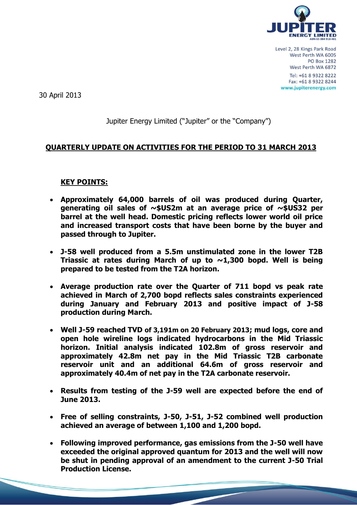

30 April 2013

## Jupiter Energy Limited ("Jupiter" or the "Company")

# **QUARTERLY UPDATE ON ACTIVITIES FOR THE PERIOD TO 31 MARCH 2013**

# **KEY POINTS:**

- **Approximately 64,000 barrels of oil was produced during Quarter, generating oil sales of ~\$US2m at an average price of ~\$US32 per barrel at the well head. Domestic pricing reflects lower world oil price and increased transport costs that have been borne by the buyer and passed through to Jupiter.**
- **J-58 well produced from a 5.5m unstimulated zone in the lower T2B Triassic at rates during March of up to ~1,300 bopd. Well is being prepared to be tested from the T2A horizon.**
- **Average production rate over the Quarter of 711 bopd vs peak rate achieved in March of 2,700 bopd reflects sales constraints experienced during January and February 2013 and positive impact of J-58 production during March.**
- **Well J-59 reached TVD of 3,191m on 20 February 2013; mud logs, core and open hole wireline logs indicated hydrocarbons in the Mid Triassic horizon. Initial analysis indicated 102.8m of gross reservoir and approximately 42.8m net pay in the Mid Triassic T2B carbonate reservoir unit and an additional 64.6m of gross reservoir and approximately 40.4m of net pay in the T2A carbonate reservoir.**
- **Results from testing of the J-59 well are expected before the end of June 2013.**
- **Free of selling constraints, J-50, J-51, J-52 combined well production achieved an average of between 1,100 and 1,200 bopd.**
- **Following improved performance, gas emissions from the J-50 well have exceeded the original approved quantum for 2013 and the well will now be shut in pending approval of an amendment to the current J-50 Trial Production License.**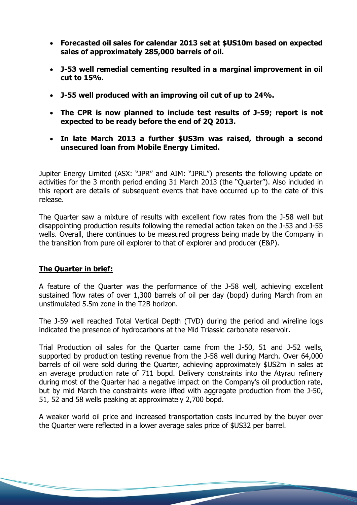- **Forecasted oil sales for calendar 2013 set at \$US10m based on expected sales of approximately 285,000 barrels of oil.**
- **J-53 well remedial cementing resulted in a marginal improvement in oil cut to 15%.**
- **J-55 well produced with an improving oil cut of up to 24%.**
- **The CPR is now planned to include test results of J-59; report is not expected to be ready before the end of 2Q 2013.**
- **In late March 2013 a further \$US3m was raised, through a second unsecured loan from Mobile Energy Limited.**

Jupiter Energy Limited (ASX: "JPR" and AIM: "JPRL") presents the following update on activities for the 3 month period ending 31 March 2013 (the "Quarter"). Also included in this report are details of subsequent events that have occurred up to the date of this release.

The Quarter saw a mixture of results with excellent flow rates from the J-58 well but disappointing production results following the remedial action taken on the J-53 and J-55 wells. Overall, there continues to be measured progress being made by the Company in the transition from pure oil explorer to that of explorer and producer (E&P).

#### **The Quarter in brief:**

A feature of the Quarter was the performance of the J-58 well, achieving excellent sustained flow rates of over 1,300 barrels of oil per day (bopd) during March from an unstimulated 5.5m zone in the T2B horizon.

The J-59 well reached Total Vertical Depth (TVD) during the period and wireline logs indicated the presence of hydrocarbons at the Mid Triassic carbonate reservoir.

Trial Production oil sales for the Quarter came from the J-50, 51 and J-52 wells, supported by production testing revenue from the J-58 well during March. Over 64,000 barrels of oil were sold during the Quarter, achieving approximately \$US2m in sales at an average production rate of 711 bopd. Delivery constraints into the Atyrau refinery during most of the Quarter had a negative impact on the Company's oil production rate, but by mid March the constraints were lifted with aggregate production from the J-50, 51, 52 and 58 wells peaking at approximately 2,700 bopd.

A weaker world oil price and increased transportation costs incurred by the buyer over the Quarter were reflected in a lower average sales price of \$US32 per barrel.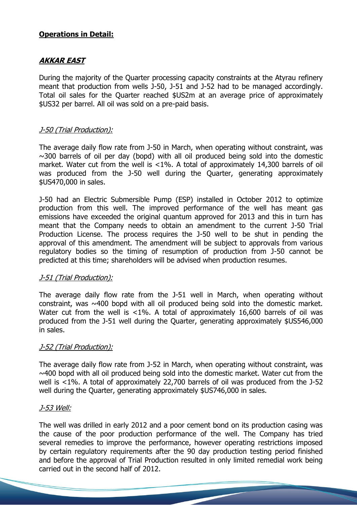## **Operations in Detail:**

# **AKKAR EAST**

During the majority of the Quarter processing capacity constraints at the Atyrau refinery meant that production from wells J-50, J-51 and J-52 had to be managed accordingly. Total oil sales for the Quarter reached \$US2m at an average price of approximately \$US32 per barrel. All oil was sold on a pre-paid basis.

## J-50 (Trial Production):

The average daily flow rate from J-50 in March, when operating without constraint, was  $\sim$ 300 barrels of oil per day (bopd) with all oil produced being sold into the domestic market. Water cut from the well is <1%. A total of approximately 14,300 barrels of oil was produced from the J-50 well during the Quarter, generating approximately \$US470,000 in sales.

J-50 had an Electric Submersible Pump (ESP) installed in October 2012 to optimize production from this well. The improved performance of the well has meant gas emissions have exceeded the original quantum approved for 2013 and this in turn has meant that the Company needs to obtain an amendment to the current J-50 Trial Production License. The process requires the J-50 well to be shut in pending the approval of this amendment. The amendment will be subject to approvals from various regulatory bodies so the timing of resumption of production from J-50 cannot be predicted at this time; shareholders will be advised when production resumes.

## J-51 (Trial Production):

The average daily flow rate from the J-51 well in March, when operating without constraint, was ~400 bopd with all oil produced being sold into the domestic market. Water cut from the well is  $\langle 1\% A \rangle$  total of approximately 16,600 barrels of oil was produced from the J-51 well during the Quarter, generating approximately \$US546,000 in sales.

## J-52 (Trial Production):

The average daily flow rate from J-52 in March, when operating without constraint, was  $\sim$ 400 bopd with all oil produced being sold into the domestic market. Water cut from the well is <1%. A total of approximately 22,700 barrels of oil was produced from the J-52 well during the Quarter, generating approximately \$US746,000 in sales.

#### J-53 Well:

The well was drilled in early 2012 and a poor cement bond on its production casing was the cause of the poor production performance of the well. The Company has tried several remedies to improve the performance, however operating restrictions imposed by certain regulatory requirements after the 90 day production testing period finished and before the approval of Trial Production resulted in only limited remedial work being carried out in the second half of 2012.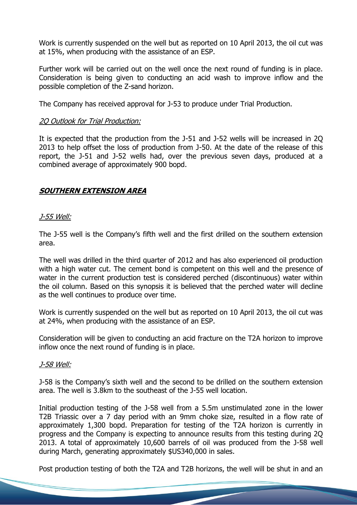Work is currently suspended on the well but as reported on 10 April 2013, the oil cut was at 15%, when producing with the assistance of an ESP.

Further work will be carried out on the well once the next round of funding is in place. Consideration is being given to conducting an acid wash to improve inflow and the possible completion of the Z-sand horizon.

The Company has received approval for J-53 to produce under Trial Production.

### 2Q Outlook for Trial Production:

It is expected that the production from the J-51 and J-52 wells will be increased in 2Q 2013 to help offset the loss of production from J-50. At the date of the release of this report, the J-51 and J-52 wells had, over the previous seven days, produced at a combined average of approximately 900 bopd.

## **SOUTHERN EXTENSION AREA**

### J-55 Well:

The J-55 well is the Company's fifth well and the first drilled on the southern extension area.

The well was drilled in the third quarter of 2012 and has also experienced oil production with a high water cut. The cement bond is competent on this well and the presence of water in the current production test is considered perched (discontinuous) water within the oil column. Based on this synopsis it is believed that the perched water will decline as the well continues to produce over time.

Work is currently suspended on the well but as reported on 10 April 2013, the oil cut was at 24%, when producing with the assistance of an ESP.

Consideration will be given to conducting an acid fracture on the T2A horizon to improve inflow once the next round of funding is in place.

#### J-58 Well:

J-58 is the Company's sixth well and the second to be drilled on the southern extension area. The well is 3.8km to the southeast of the J-55 well location.

Initial production testing of the J-58 well from a 5.5m unstimulated zone in the lower T2B Triassic over a 7 day period with an 9mm choke size, resulted in a flow rate of approximately 1,300 bopd. Preparation for testing of the T2A horizon is currently in progress and the Company is expecting to announce results from this testing during 2Q 2013. A total of approximately 10,600 barrels of oil was produced from the J-58 well during March, generating approximately \$US340,000 in sales.

Post production testing of both the T2A and T2B horizons, the well will be shut in and an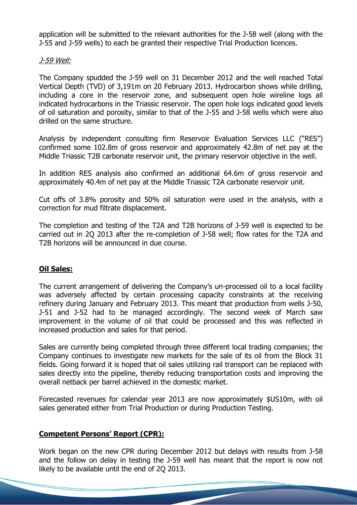application will be submitted to the relevant authorities for the J-58 well (along with the J-55 and J-59 wells) to each be granted their respective Trial Production licences.

### J-59 Well:

The Company spudded the J-59 well on 31 December 2012 and the well reached Total Vertical Depth (TVD) of 3,191m on 20 February 2013. Hydrocarbon shows while drilling, including a core in the reservoir zone, and subsequent open hole wireline logs all indicated hydrocarbons in the Triassic reservoir. The open hole logs indicated good levels of oil saturation and porosity, similar to that of the J-55 and J-58 wells which were also drilled on the same structure.

Analysis by independent consulting firm Reservoir Evaluation Services LLC ("RES") confirmed some 102.8m of gross reservoir and approximately 42.8m of net pay at the Middle Triassic T2B carbonate reservoir unit, the primary reservoir objective in the well.

In addition RES analysis also confirmed an additional 64.6m of gross reservoir and approximately 40.4m of net pay at the Middle Triassic T2A carbonate reservoir unit.

Cut offs of 3.8% porosity and 50% oil saturation were used in the analysis, with a correction for mud filtrate displacement.

The completion and testing of the T2A and T2B horizons of J-59 well is expected to be carried out in 2Q 2013 after the re-completion of J-58 well; flow rates for the T2A and T2B horizons will be announced in due course.

## **Oil Sales:**

The current arrangement of delivering the Company's un-processed oil to a local facility was adversely affected by certain processing capacity constraints at the receiving refinery during January and February 2013. This meant that production from wells J-50, J-51 and J-52 had to be managed accordingly. The second week of March saw improvement in the volume of oil that could be processed and this was reflected in increased production and sales for that period.

Sales are currently being completed through three different local trading companies; the Company continues to investigate new markets for the sale of its oil from the Block 31 fields. Going forward it is hoped that oil sales utilizing rail transport can be replaced with sales directly into the pipeline, thereby reducing transportation costs and improving the overall netback per barrel achieved in the domestic market.

Forecasted revenues for calendar year 2013 are now approximately \$US10m, with oil sales generated either from Trial Production or during Production Testing.

## **Competent Persons' Report (CPR):**

Work began on the new CPR during December 2012 but delays with results from J-58 and the follow on delay in testing the J-59 well has meant that the report is now not likely to be available until the end of 2Q 2013.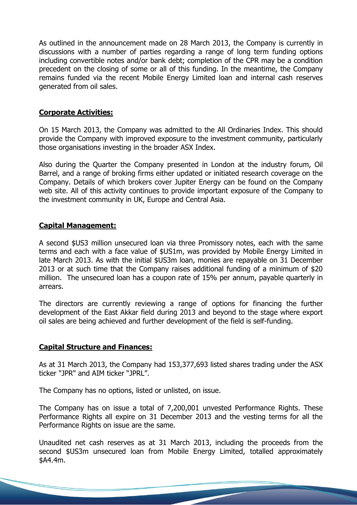As outlined in the announcement made on 28 March 2013, the Company is currently in discussions with a number of parties regarding a range of long term funding options including convertible notes and/or bank debt; completion of the CPR may be a condition precedent on the closing of some or all of this funding. In the meantime, the Company remains funded via the recent Mobile Energy Limited loan and internal cash reserves generated from oil sales.

### **Corporate Activities:**

On 15 March 2013, the Company was admitted to the All Ordinaries Index. This should provide the Company with improved exposure to the investment community, particularly those organisations investing in the broader ASX Index.

Also during the Quarter the Company presented in London at the industry forum, Oil Barrel, and a range of broking firms either updated or initiated research coverage on the Company. Details of which brokers cover Jupiter Energy can be found on the Company web site. All of this activity continues to provide important exposure of the Company to the investment community in UK, Europe and Central Asia.

## **Capital Management:**

A second \$US3 million unsecured loan via three Promissory notes, each with the same terms and each with a face value of \$US1m, was provided by Mobile Energy Limited in late March 2013. As with the initial \$US3m loan, monies are repayable on 31 December 2013 or at such time that the Company raises additional funding of a minimum of \$20 million. The unsecured loan has a coupon rate of 15% per annum, payable quarterly in arrears.

The directors are currently reviewing a range of options for financing the further development of the East Akkar field during 2013 and beyond to the stage where export oil sales are being achieved and further development of the field is self-funding.

## **Capital Structure and Finances:**

As at 31 March 2013, the Company had 153,377,693 listed shares trading under the ASX ticker "JPR" and AIM ticker "JPRL".

The Company has no options, listed or unlisted, on issue.

The Company has on issue a total of 7,200,001 unvested Performance Rights. These Performance Rights all expire on 31 December 2013 and the vesting terms for all the Performance Rights on issue are the same.

Unaudited net cash reserves as at 31 March 2013, including the proceeds from the second \$US3m unsecured loan from Mobile Energy Limited, totalled approximately \$A4.4m.